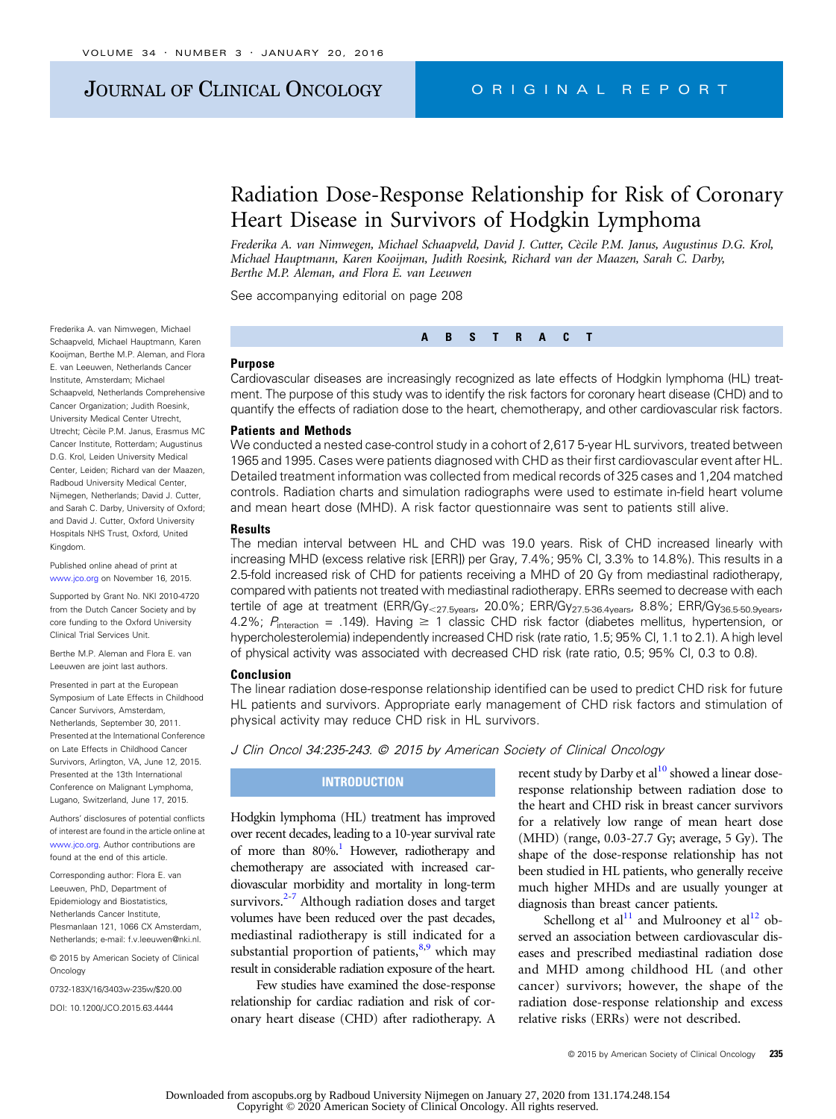# JOURNAL OF CLINICAL ONCOLOGY CRIGINAL REPORT

# Radiation Dose-Response Relationship for Risk of Coronary Heart Disease in Survivors of Hodgkin Lymphoma

Frederika A. van Nimwegen, Michael Schaapveld, David J. Cutter, Cècile P.M. Janus, Augustinus D.G. Krol, Michael Hauptmann, Karen Kooijman, Judith Roesink, Richard van der Maazen, Sarah C. Darby, Berthe M.P. Aleman, and Flora E. van Leeuwen

Frederika A. van Nimwegen, Michael Schaapveld, Michael Hauptmann, Karen Kooijman, Berthe M.P. Aleman, and Flora E. van Leeuwen, Netherlands Cancer Institute, Amsterdam; Michael Schaapveld, Netherlands Comprehensive Cancer Organization; Judith Roesink, University Medical Center Utrecht, Utrecht; Cècile P.M. Janus, Erasmus MC Cancer Institute, Rotterdam; Augustinus D.G. Krol, Leiden University Medical Center, Leiden; Richard van der Maazen, Radboud University Medical Center, Nijmegen, Netherlands; David J. Cutter, and Sarah C. Darby, University of Oxford; and David J. Cutter, Oxford University Hospitals NHS Trust, Oxford, United Kingdom.

Published online ahead of print at [www.jco.org](http://www.jco.org) on November 16, 2015.

Supported by Grant No. NKI 2010-4720 from the Dutch Cancer Society and by core funding to the Oxford University Clinical Trial Services Unit.

Berthe M.P. Aleman and Flora E. van Leeuwen are joint last authors.

Presented in part at the European Symposium of Late Effects in Childhood Cancer Survivors, Amsterdam, Netherlands, September 30, 2011. Presented at the International Conference on Late Effects in Childhood Cancer Survivors, Arlington, VA, June 12, 2015. Presented at the 13th International Conference on Malignant Lymphoma, Lugano, Switzerland, June 17, 2015.

Authors' disclosures of potential conflicts of interest are found in the article online at [www.jco.org.](http://www.jco.org) Author contributions are found at the end of this article.

Corresponding author: Flora E. van Leeuwen, PhD, Department of Epidemiology and Biostatistics, Netherlands Cancer Institute, Plesmanlaan 121, 1066 CX Amsterdam, Netherlands; e-mail: [f.v.leeuwen@nki.nl](mailto:f.v.leeuwen@nki.nl).

© 2015 by American Society of Clinical **Oncology** 

0732-183X/16/3403w-235w/\$20.00

DOI: [10.1200/JCO.2015.63.4444](http://dx.doi.org/10.1200/JCO.2015.63.4444)

See accompanying editorial on page 208

# Purpose

Cardiovascular diseases are increasingly recognized as late effects of Hodgkin lymphoma (HL) treatment. The purpose of this study was to identify the risk factors for coronary heart disease (CHD) and to quantify the effects of radiation dose to the heart, chemotherapy, and other cardiovascular risk factors.

ABSTRACT

#### Patients and Methods

We conducted a nested case-control study in a cohort of 2,617 5-year HL survivors, treated between 1965 and 1995. Cases were patients diagnosed with CHD as their first cardiovascular event after HL. Detailed treatment information was collected from medical records of 325 cases and 1,204 matched controls. Radiation charts and simulation radiographs were used to estimate in-field heart volume and mean heart dose (MHD). A risk factor questionnaire was sent to patients still alive.

#### **Results**

The median interval between HL and CHD was 19.0 years. Risk of CHD increased linearly with increasing MHD (excess relative risk [ERR]) per Gray, 7.4%; 95% CI, 3.3% to 14.8%). This results in a 2.5-fold increased risk of CHD for patients receiving a MHD of 20 Gy from mediastinal radiotherapy, compared with patients not treated with mediastinal radiotherapy. ERRs seemed to decrease with each tertile of age at treatment (ERR/Gy<sub><27.5years</sub>, 20.0%; ERR/Gy<sub>27.5-36.4years</sub>, 8.8%; ERR/Gy<sub>36.5-50.9years</sub>, 4.2%;  $P_{\text{interaction}} = .149$ . Having  $\geq 1$  classic CHD risk factor (diabetes mellitus, hypertension, or hypercholesterolemia) independently increased CHD risk (rate ratio, 1.5; 95% CI, 1.1 to 2.1). A high level of physical activity was associated with decreased CHD risk (rate ratio, 0.5; 95% CI, 0.3 to 0.8).

#### Conclusion

The linear radiation dose-response relationship identified can be used to predict CHD risk for future HL patients and survivors. Appropriate early management of CHD risk factors and stimulation of physical activity may reduce CHD risk in HL survivors.

# J Clin Oncol 34:235-243. © 2015 by American Society of Clinical Oncology

## **INTRODUCTION**

Hodgkin lymphoma (HL) treatment has improved over recent decades, leading to a 10-year survival rate of more than  $80\%$ .<sup>1</sup> However, radiotherapy and chemotherapy are associated with increased cardiovascular morbidity and mortality in long-term survivors. $2-7$  Although radiation doses and target volumes have been reduced over the past decades, mediastinal radiotherapy is still indicated for a substantial proportion of patients, $8.9$  which may result in considerable radiation exposure of the heart.

Few studies have examined the dose-response relationship for cardiac radiation and risk of coronary heart disease (CHD) after radiotherapy. A

recent study by Darby et  $al^{10}$  showed a linear doseresponse relationship between radiation dose to the heart and CHD risk in breast cancer survivors for a relatively low range of mean heart dose (MHD) (range, 0.03-27.7 Gy; average, 5 Gy). The shape of the dose-response relationship has not been studied in HL patients, who generally receive much higher MHDs and are usually younger at diagnosis than breast cancer patients.

Schellong et al<sup>11</sup> and Mulrooney et al<sup>[12](#page-8-0)</sup> observed an association between cardiovascular diseases and prescribed mediastinal radiation dose and MHD among childhood HL (and other cancer) survivors; however, the shape of the radiation dose-response relationship and excess relative risks (ERRs) were not described.

© 2015 by American Society of Clinical Oncology 235

Downloaded from ascopubs.org by Radboud University Nijmegen on January 27, 2020 from 131.174.248.154 Copyright © 2020 American Society of Clinical Oncology. All rights reserved.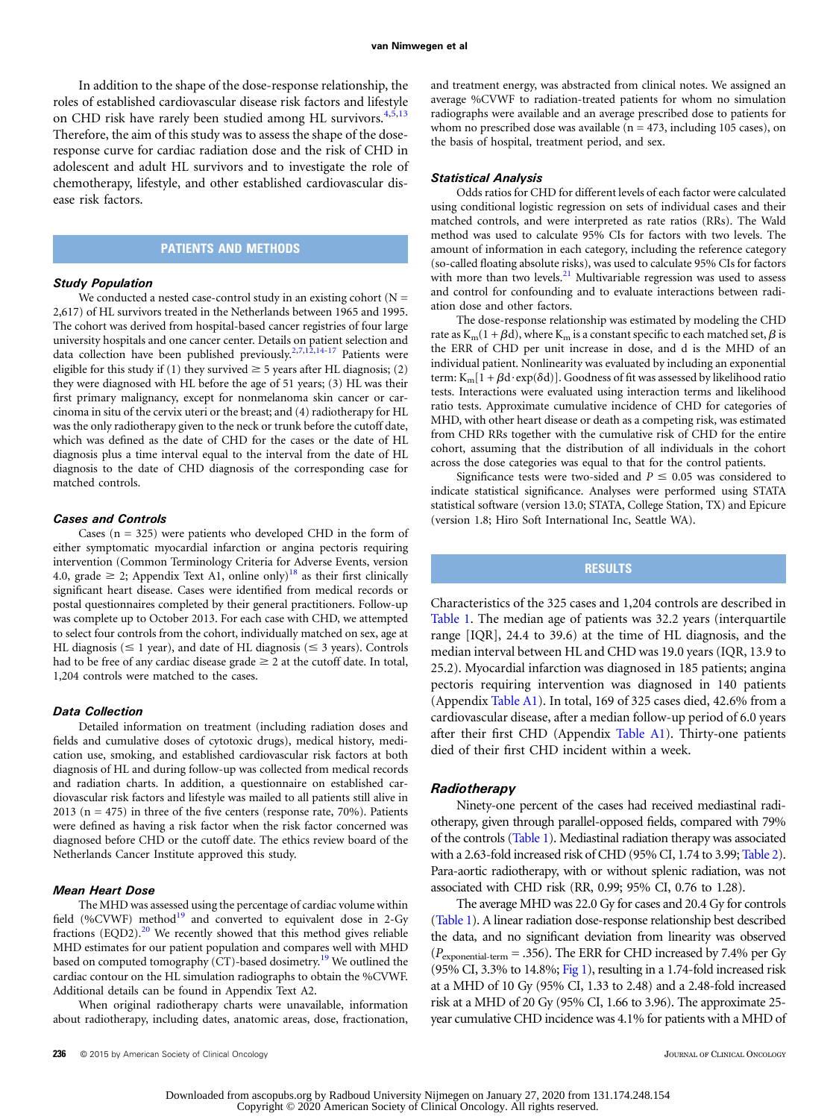In addition to the shape of the dose-response relationship, the roles of established cardiovascular disease risk factors and lifestyle on CHD risk have rarely been studied among HL survivors.<sup>[4](#page-7-0),[5](#page-7-0),[13](#page-8-0)</sup> Therefore, the aim of this study was to assess the shape of the doseresponse curve for cardiac radiation dose and the risk of CHD in adolescent and adult HL survivors and to investigate the role of chemotherapy, lifestyle, and other established cardiovascular disease risk factors.

# PATIENTS AND METHODS

#### Study Population

We conducted a nested case-control study in an existing cohort  $(N =$ 2,617) of HL survivors treated in the Netherlands between 1965 and 1995. The cohort was derived from hospital-based cancer registries of four large university hospitals and one cancer center. Details on patient selection and data collection have been published previously.<sup>2,[7](#page-7-0)[,12](#page-8-0),[14-17](#page-8-0)</sup> Patients were eligible for this study if (1) they survived  $\geq$  5 years after HL diagnosis; (2) they were diagnosed with HL before the age of 51 years; (3) HL was their first primary malignancy, except for nonmelanoma skin cancer or carcinoma in situ of the cervix uteri or the breast; and (4) radiotherapy for HL was the only radiotherapy given to the neck or trunk before the cutoff date, which was defined as the date of CHD for the cases or the date of HL diagnosis plus a time interval equal to the interval from the date of HL diagnosis to the date of CHD diagnosis of the corresponding case for matched controls.

#### Cases and Controls

Cases  $(n = 325)$  were patients who developed CHD in the form of either symptomatic myocardial infarction or angina pectoris requiring intervention (Common Terminology Criteria for Adverse Events, version 4.0, grade  $\geq$  2; Appendix Text A1, online only)<sup>[18](#page-8-0)</sup> as their first clinically significant heart disease. Cases were identified from medical records or postal questionnaires completed by their general practitioners. Follow-up was complete up to October 2013. For each case with CHD, we attempted to select four controls from the cohort, individually matched on sex, age at HL diagnosis ( $\leq 1$  year), and date of HL diagnosis ( $\leq 3$  years). Controls had to be free of any cardiac disease grade  $\geq 2$  at the cutoff date. In total, 1,204 controls were matched to the cases.

#### Data Collection

Detailed information on treatment (including radiation doses and fields and cumulative doses of cytotoxic drugs), medical history, medication use, smoking, and established cardiovascular risk factors at both diagnosis of HL and during follow-up was collected from medical records and radiation charts. In addition, a questionnaire on established cardiovascular risk factors and lifestyle was mailed to all patients still alive in 2013 ( $n = 475$ ) in three of the five centers (response rate, 70%). Patients were defined as having a risk factor when the risk factor concerned was diagnosed before CHD or the cutoff date. The ethics review board of the Netherlands Cancer Institute approved this study.

#### Mean Heart Dose

The MHD was assessed using the percentage of cardiac volume within field (%CVWF) method $19$  and converted to equivalent dose in 2-Gy fractions  $(EQD2).<sup>20</sup>$  $(EQD2).<sup>20</sup>$  $(EQD2).<sup>20</sup>$  We recently showed that this method gives reliable MHD estimates for our patient population and compares well with MHD based on computed tomography  $(CT)$ -based dosimetry.<sup>[19](#page-8-0)</sup> We outlined the cardiac contour on the HL simulation radiographs to obtain the %CVWF. Additional details can be found in Appendix Text A2.

When original radiotherapy charts were unavailable, information about radiotherapy, including dates, anatomic areas, dose, fractionation, and treatment energy, was abstracted from clinical notes. We assigned an average %CVWF to radiation-treated patients for whom no simulation radiographs were available and an average prescribed dose to patients for whom no prescribed dose was available ( $n = 473$ , including 105 cases), on the basis of hospital, treatment period, and sex.

#### Statistical Analysis

Odds ratios for CHD for different levels of each factor were calculated using conditional logistic regression on sets of individual cases and their matched controls, and were interpreted as rate ratios (RRs). The Wald method was used to calculate 95% CIs for factors with two levels. The amount of information in each category, including the reference category (so-called floating absolute risks), was used to calculate 95% CIs for factors with more than two levels. $21$  Multivariable regression was used to assess and control for confounding and to evaluate interactions between radiation dose and other factors.

The dose-response relationship was estimated by modeling the CHD rate as  $K_m(1 + \beta d)$ , where  $K_m$  is a constant specific to each matched set,  $\beta$  is the ERR of CHD per unit increase in dose, and d is the MHD of an individual patient. Nonlinearity was evaluated by including an exponential term:  $K_m[1 + \beta d \cdot exp(\delta d)]$ . Goodness of fit was assessed by likelihood ratio tests. Interactions were evaluated using interaction terms and likelihood ratio tests. Approximate cumulative incidence of CHD for categories of MHD, with other heart disease or death as a competing risk, was estimated from CHD RRs together with the cumulative risk of CHD for the entire cohort, assuming that the distribution of all individuals in the cohort across the dose categories was equal to that for the control patients.

Significance tests were two-sided and  $P \le 0.05$  was considered to indicate statistical significance. Analyses were performed using STATA statistical software (version 13.0; STATA, College Station, TX) and Epicure (version 1.8; Hiro Soft International Inc, Seattle WA).

# RESULTS

Characteristics of the 325 cases and 1,204 controls are described in [Table 1](#page-2-0). The median age of patients was 32.2 years (interquartile range [IQR], 24.4 to 39.6) at the time of HL diagnosis, and the median interval between HL and CHD was 19.0 years (IQR, 13.9 to 25.2). Myocardial infarction was diagnosed in 185 patients; angina pectoris requiring intervention was diagnosed in 140 patients (Appendix [Table A1\)](#page-10-0). In total, 169 of 325 cases died, 42.6% from a cardiovascular disease, after a median follow-up period of 6.0 years after their first CHD (Appendix [Table A1\)](#page-10-0). Thirty-one patients died of their first CHD incident within a week.

#### **Radiotherapy**

Ninety-one percent of the cases had received mediastinal radiotherapy, given through parallel-opposed fields, compared with 79% of the controls ([Table 1](#page-2-0)). Mediastinal radiation therapy was associated with a 2.63-fold increased risk of CHD (95% CI, 1.74 to 3.99; [Table 2\)](#page-3-0). Para-aortic radiotherapy, with or without splenic radiation, was not associated with CHD risk (RR, 0.99; 95% CI, 0.76 to 1.28).

The average MHD was 22.0 Gy for cases and 20.4 Gy for controls ([Table 1](#page-2-0)). A linear radiation dose-response relationship best described the data, and no significant deviation from linearity was observed  $(P_{\text{exponential-term}} = .356)$ . The ERR for CHD increased by 7.4% per Gy (95% CI, 3.3% to 14.8%; [Fig 1\)](#page-4-0), resulting in a 1.74-fold increased risk at a MHD of 10 Gy (95% CI, 1.33 to 2.48) and a 2.48-fold increased risk at a MHD of 20 Gy (95% CI, 1.66 to 3.96). The approximate 25 year cumulative CHD incidence was 4.1% for patients with a MHD of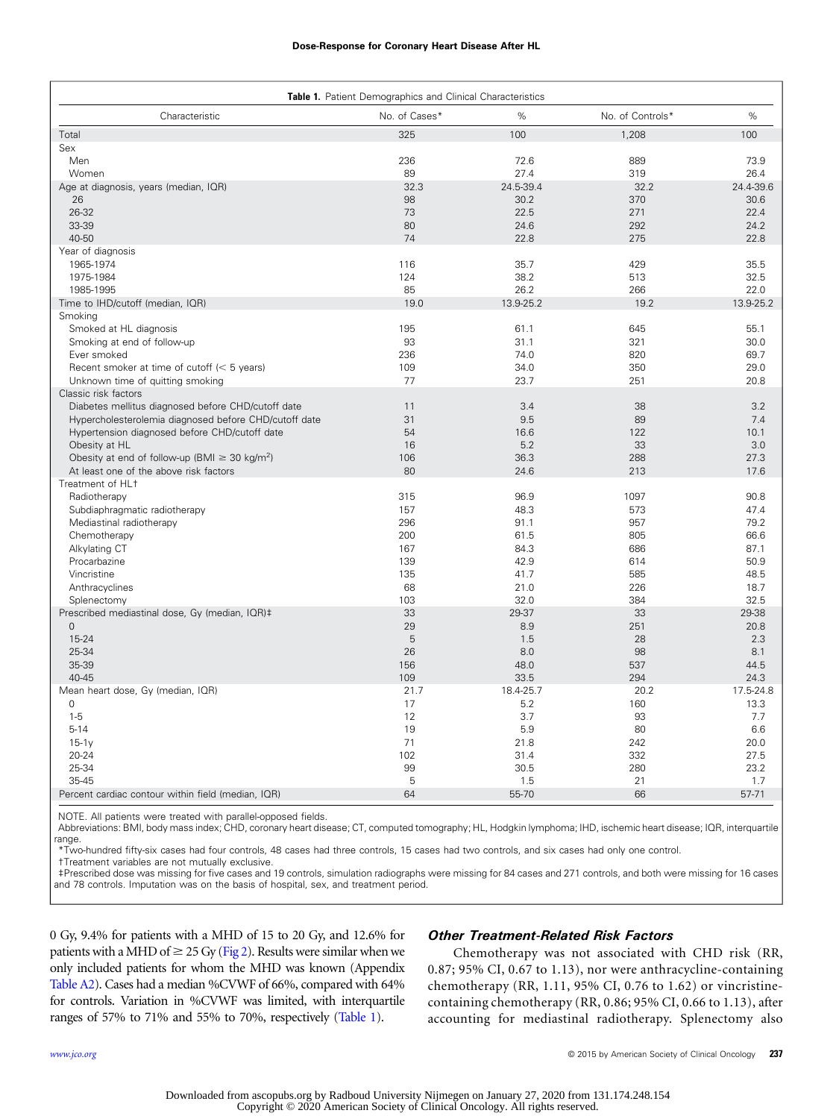# Dose-Response for Coronary Heart Disease After HL

<span id="page-2-0"></span>

| <b>Table 1.</b> Patient Demographics and Clinical Characteristics |               |             |                  |             |  |  |
|-------------------------------------------------------------------|---------------|-------------|------------------|-------------|--|--|
| Characteristic                                                    | No. of Cases* | %           | No. of Controls* | %           |  |  |
| Total                                                             | 325           | 100         | 1,208            | 100         |  |  |
| Sex                                                               |               |             |                  |             |  |  |
| Men                                                               | 236           | 72.6        | 889              | 73.9        |  |  |
| Women                                                             | 89            | 27.4        | 319              | 26.4        |  |  |
| Age at diagnosis, years (median, IQR)                             | 32.3          | 24.5-39.4   | 32.2             | 24.4-39.6   |  |  |
| 26                                                                | 98            | 30.2        | 370              | 30.6        |  |  |
| 26-32                                                             | 73            | 22.5        | 271              | 22.4        |  |  |
| 33-39                                                             | 80            | 24.6        | 292              | 24.2        |  |  |
| 40-50                                                             | 74            | 22.8        | 275              | 22.8        |  |  |
| Year of diagnosis                                                 |               |             |                  |             |  |  |
| 1965-1974                                                         | 116           | 35.7        | 429              | 35.5        |  |  |
| 1975-1984                                                         | 124           | 38.2        | 513              | 32.5        |  |  |
| 1985-1995                                                         | 85            | 26.2        | 266              | 22.0        |  |  |
| Time to IHD/cutoff (median, IQR)                                  | 19.0          | 13.9-25.2   | 19.2             | 13.9-25.2   |  |  |
| Smoking                                                           |               |             |                  |             |  |  |
| Smoked at HL diagnosis                                            | 195           | 61.1        | 645              | 55.1        |  |  |
| Smoking at end of follow-up                                       | 93            | 31.1        | 321              | 30.0        |  |  |
| Ever smoked                                                       | 236           | 74.0        | 820              | 69.7        |  |  |
| Recent smoker at time of cutoff $(< 5$ years)                     | 109           | 34.0        | 350              | 29.0        |  |  |
| Unknown time of quitting smoking                                  | 77            | 23.7        | 251              | 20.8        |  |  |
| Classic risk factors                                              |               |             |                  |             |  |  |
| Diabetes mellitus diagnosed before CHD/cutoff date                | 11            | 3.4         | 38               | 3.2         |  |  |
| Hypercholesterolemia diagnosed before CHD/cutoff date             | 31            | 9.5         | 89               | 7.4         |  |  |
| Hypertension diagnosed before CHD/cutoff date                     | 54            | 16.6        | 122              | 10.1        |  |  |
| Obesity at HL                                                     | 16            | 5.2         | 33               | 3.0         |  |  |
| Obesity at end of follow-up (BMI $\geq$ 30 kg/m <sup>2</sup> )    | 106           | 36.3        | 288              | 27.3        |  |  |
| At least one of the above risk factors                            | 80            | 24.6        | 213              | 17.6        |  |  |
| Treatment of HL+                                                  |               |             |                  |             |  |  |
| Radiotherapy                                                      | 315           | 96.9        | 1097             | 90.8        |  |  |
| Subdiaphragmatic radiotherapy                                     | 157           | 48.3        | 573              | 47.4        |  |  |
| Mediastinal radiotherapy                                          | 296           | 91.1        | 957              | 79.2        |  |  |
| Chemotherapy                                                      | 200           | 61.5        | 805              | 66.6        |  |  |
| Alkylating CT                                                     | 167           | 84.3        | 686              | 87.1        |  |  |
| Procarbazine                                                      | 139           | 42.9        | 614              | 50.9        |  |  |
| Vincristine                                                       | 135           | 41.7        | 585              | 48.5        |  |  |
| Anthracyclines                                                    | 68            | 21.0        | 226              | 18.7        |  |  |
| Splenectomy                                                       | 103           | 32.0        | 384              | 32.5        |  |  |
| Prescribed mediastinal dose, Gy (median, IQR)#                    | 33            | 29-37       | 33               | 29-38       |  |  |
| $\mathbf{0}$                                                      | 29            | 8.9         | 251              | 20.8        |  |  |
| 15-24                                                             | 5             | 1.5         | 28               | 2.3         |  |  |
| 25-34                                                             | 26            | 8.0         | 98               | 8.1         |  |  |
| 35-39                                                             | 156           | 48.0        | 537              | 44.5        |  |  |
| 40-45                                                             | 109           | 33.5        | 294              | 24.3        |  |  |
| Mean heart dose, Gy (median, IQR)                                 | 21.7          | 18.4-25.7   | 20.2             | 17.5-24.8   |  |  |
| $\mathbf 0$<br>$1 - 5$                                            | 17            | 5.2         | 160              | 13.3        |  |  |
|                                                                   | 12            | 3.7         | 93               | 7.7         |  |  |
| $5 - 14$                                                          | 19<br>71      | 5.9<br>21.8 | 80<br>242        | 6.6<br>20.0 |  |  |
| $15-1v$                                                           | 102           |             |                  |             |  |  |
| 20-24                                                             |               | 31.4        | 332              | 27.5        |  |  |
| 25-34<br>35-45                                                    | 99<br>5       | 30.5<br>1.5 | 280<br>21        | 23.2<br>1.7 |  |  |
|                                                                   |               |             |                  |             |  |  |
| Percent cardiac contour within field (median, IQR)                | 64            | 55-70       | 66               | 57-71       |  |  |

NOTE. All patients were treated with parallel-opposed fields.

Abbreviations: BMI, body mass index; CHD, coronary heart disease; CT, computed tomography; HL, Hodgkin lymphoma; IHD, ischemic heart disease; IQR, interquartile range.

\*Two-hundred fifty-six cases had four controls, 48 cases had three controls, 15 cases had two controls, and six cases had only one control.

†Treatment variables are not mutually exclusive.

‡Prescribed dose was missing for five cases and 19 controls, simulation radiographs were missing for 84 cases and 271 controls, and both were missing for 16 cases and 78 controls. Imputation was on the basis of hospital, sex, and treatment period.

0 Gy, 9.4% for patients with a MHD of 15 to 20 Gy, and 12.6% for patients with a MHD of  $\geq$  25 Gy [\(Fig 2\)](#page-4-0). Results were similar when we only included patients for whom the MHD was known (Appendix [Table A2](#page-11-0)). Cases had a median %CVWF of 66%, compared with 64% for controls. Variation in %CVWF was limited, with interquartile ranges of 57% to 71% and 55% to 70%, respectively (Table 1).

#### Other Treatment-Related Risk Factors

Chemotherapy was not associated with CHD risk (RR, 0.87; 95% CI, 0.67 to 1.13), nor were anthracycline-containing chemotherapy (RR, 1.11, 95% CI, 0.76 to 1.62) or vincristinecontaining chemotherapy (RR, 0.86; 95% CI, 0.66 to 1.13), after accounting for mediastinal radiotherapy. Splenectomy also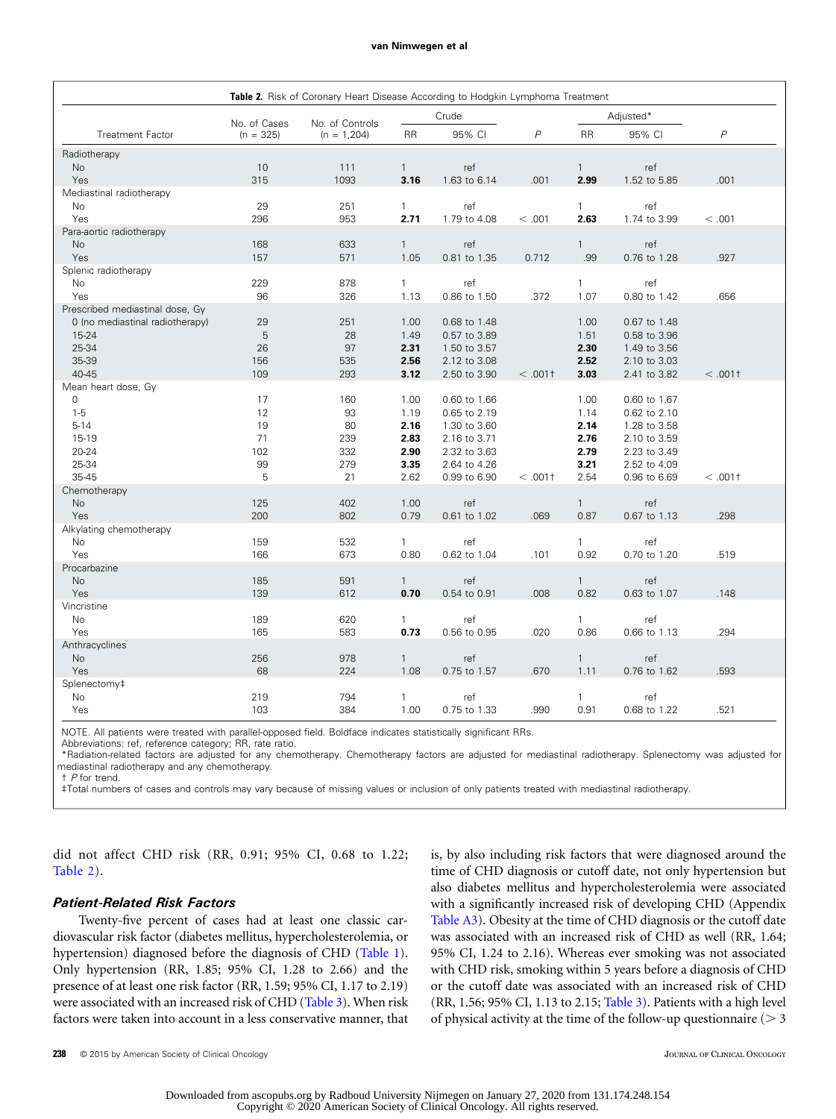#### van Nimwegen et al van Nimwegen et al

<span id="page-3-0"></span>

| Table 2. Risk of Coronary Heart Disease According to Hodgkin Lymphoma Treatment |                                          |               |                |              |                |              |              |                |
|---------------------------------------------------------------------------------|------------------------------------------|---------------|----------------|--------------|----------------|--------------|--------------|----------------|
|                                                                                 | Crude<br>No. of Cases<br>No. of Controls |               |                | Adjusted*    |                |              |              |                |
| <b>Treatment Factor</b>                                                         | $(n = 325)$                              | $(n = 1,204)$ | <b>RR</b>      | 95% CI       | $\overline{P}$ | <b>RR</b>    | 95% CI       | $\overline{P}$ |
| Radiotherapy                                                                    |                                          |               |                |              |                |              |              |                |
| No                                                                              | 10                                       | 111           | $\overline{1}$ | ref          |                | $\mathbf{1}$ | ref          |                |
| Yes                                                                             | 315                                      | 1093          | 3.16           | 1.63 to 6.14 | .001           | 2.99         | 1.52 to 5.85 | .001           |
| Mediastinal radiotherapy                                                        |                                          |               |                |              |                |              |              |                |
| No                                                                              | 29                                       | 251           | $\mathbf{1}$   | ref          |                | $\mathbf{1}$ | ref          |                |
| Yes<br>Para-aortic radiotherapy                                                 | 296                                      | 953           | 2.71           | 1.79 to 4.08 | < .001         | 2.63         | 1.74 to 3.99 | < .001         |
| <b>No</b>                                                                       | 168                                      | 633           | $\mathbf{1}$   | ref          |                | $\mathbf{1}$ | ref          |                |
| Yes                                                                             | 157                                      | 571           | 1.05           | 0.81 to 1.35 | 0.712          | .99          | 0.76 to 1.28 | .927           |
| Splenic radiotherapy                                                            |                                          |               |                |              |                |              |              |                |
| <b>No</b>                                                                       | 229                                      | 878           | $\mathbf{1}$   | ref          |                | $\mathbf{1}$ | ref          |                |
| Yes                                                                             | 96                                       | 326           | 1.13           | 0.86 to 1.50 | .372           | 1.07         | 0.80 to 1.42 | .656           |
| Prescribed mediastinal dose, Gy                                                 |                                          |               |                |              |                |              |              |                |
| 0 (no mediastinal radiotherapy)                                                 | 29                                       | 251           | 1.00           | 0.68 to 1.48 |                | 1.00         | 0.67 to 1.48 |                |
| 15-24                                                                           | 5                                        | 28            | 1.49           | 0.57 to 3.89 |                | 1.51         | 0.58 to 3.96 |                |
| 25-34                                                                           | 26                                       | 97            | 2.31           | 1.50 to 3.57 |                | 2.30         | 1.49 to 3.56 |                |
| 35-39                                                                           | 156                                      | 535           | 2.56           | 2.12 to 3.08 |                | 2.52         | 2.10 to 3.03 |                |
| 40-45                                                                           | 109                                      | 293           | 3.12           | 2.50 to 3.90 | < .0011        | 3.03         | 2.41 to 3.82 | $< .001$ +     |
| Mean heart dose, Gy                                                             |                                          |               |                |              |                |              |              |                |
| 0                                                                               | 17                                       | 160           | 1.00           | 0.60 to 1.66 |                | 1.00         | 0.60 to 1.67 |                |
| $1 - 5$                                                                         | 12                                       | 93            | 1.19           | 0.65 to 2.19 |                | 1.14         | 0.62 to 2.10 |                |
| $5 - 14$                                                                        | 19                                       | 80            | 2.16           | 1.30 to 3.60 |                | 2.14         | 1.28 to 3.58 |                |
| 15-19                                                                           | 71                                       | 239           | 2.83           | 2.16 to 3.71 |                | 2.76         | 2.10 to 3.59 |                |
| 20-24                                                                           | 102                                      | 332           | 2.90           | 2.32 to 3.63 |                | 2.79         | 2.23 to 3.49 |                |
| 25-34                                                                           | 99                                       | 279           | 3.35           | 2.64 to 4.26 |                | 3.21         | 2.52 to 4.09 |                |
| 35-45                                                                           | 5                                        | 21            | 2.62           | 0.99 to 6.90 | $< .001$ +     | 2.54         | 0.96 to 6.69 | < .0011        |
| Chemotherapy                                                                    |                                          |               |                |              |                |              |              |                |
| No                                                                              | 125                                      | 402           | 1.00           | ref          |                | $\mathbf{1}$ | ref          |                |
| Yes                                                                             | 200                                      | 802           | 0.79           | 0.61 to 1.02 | .069           | 0.87         | 0.67 to 1.13 | .298           |
| Alkylating chemotherapy<br>No                                                   | 159                                      | 532           | $\mathbf{1}$   | ref          |                | $\mathbf{1}$ | ref          |                |
| Yes                                                                             | 166                                      | 673           | 0.80           | 0.62 to 1.04 | .101           | 0.92         | 0.70 to 1.20 | .519           |
| Procarbazine                                                                    |                                          |               |                |              |                |              |              |                |
| No                                                                              | 185                                      | 591           | $\mathbf{1}$   | ref          |                | $\mathbf{1}$ | ref          |                |
| Yes                                                                             | 139                                      | 612           | 0.70           | 0.54 to 0.91 | .008           | 0.82         | 0.63 to 1.07 | .148           |
| Vincristine                                                                     |                                          |               |                |              |                |              |              |                |
| No                                                                              | 189                                      | 620           | $\mathbf{1}$   | ref          |                | 1            | ref          |                |
| Yes                                                                             | 165                                      | 583           | 0.73           | 0.56 to 0.95 | .020           | 0.86         | 0.66 to 1.13 | .294           |
| Anthracyclines                                                                  |                                          |               |                |              |                |              |              |                |
| No                                                                              | 256                                      | 978           | $\mathbf{1}$   | ref          |                | $\mathbf{1}$ | ref          |                |
| Yes                                                                             | 68                                       | 224           | 1.08           | 0.75 to 1.57 | .670           | 1.11         | 0.76 to 1.62 | .593           |
| Splenectomy#                                                                    |                                          |               |                |              |                |              |              |                |
| No                                                                              | 219                                      | 794           | $\mathbf{1}$   | ref          |                | 1            | ref          |                |
| Yes                                                                             | 103                                      | 384           | 1.00           | 0.75 to 1.33 | .990           | 0.91         | 0.68 to 1.22 | .521           |

NOTE. All patients were treated with parallel-opposed field. Boldface indicates statistically significant RRs.

Abbreviations: ref, reference category; RR, rate ratio. \*Radiation-related factors are adjusted for any chemotherapy. Chemotherapy factors are adjusted for mediastinal radiotherapy. Splenectomy was adjusted for mediastinal radiotherapy and any chemotherapy.

† P for trend.

‡Total numbers of cases and controls may vary because of missing values or inclusion of only patients treated with mediastinal radiotherapy.

did not affect CHD risk (RR, 0.91; 95% CI, 0.68 to 1.22; Table 2).

# Patient-Related Risk Factors

Twenty-five percent of cases had at least one classic cardiovascular risk factor (diabetes mellitus, hypercholesterolemia, or hypertension) diagnosed before the diagnosis of CHD ([Table 1\)](#page-2-0). Only hypertension (RR, 1.85; 95% CI, 1.28 to 2.66) and the presence of at least one risk factor (RR, 1.59; 95% CI, 1.17 to 2.19) were associated with an increased risk of CHD [\(Table 3\)](#page-5-0). When risk factors were taken into account in a less conservative manner, that is, by also including risk factors that were diagnosed around the time of CHD diagnosis or cutoff date, not only hypertension but also diabetes mellitus and hypercholesterolemia were associated with a significantly increased risk of developing CHD (Appendix [Table A3](#page-11-0)). Obesity at the time of CHD diagnosis or the cutoff date was associated with an increased risk of CHD as well (RR, 1.64; 95% CI, 1.24 to 2.16). Whereas ever smoking was not associated with CHD risk, smoking within 5 years before a diagnosis of CHD or the cutoff date was associated with an increased risk of CHD (RR, 1.56; 95% CI, 1.13 to 2.15; [Table 3](#page-5-0)). Patients with a high level of physical activity at the time of the follow-up questionnaire ( $> 3$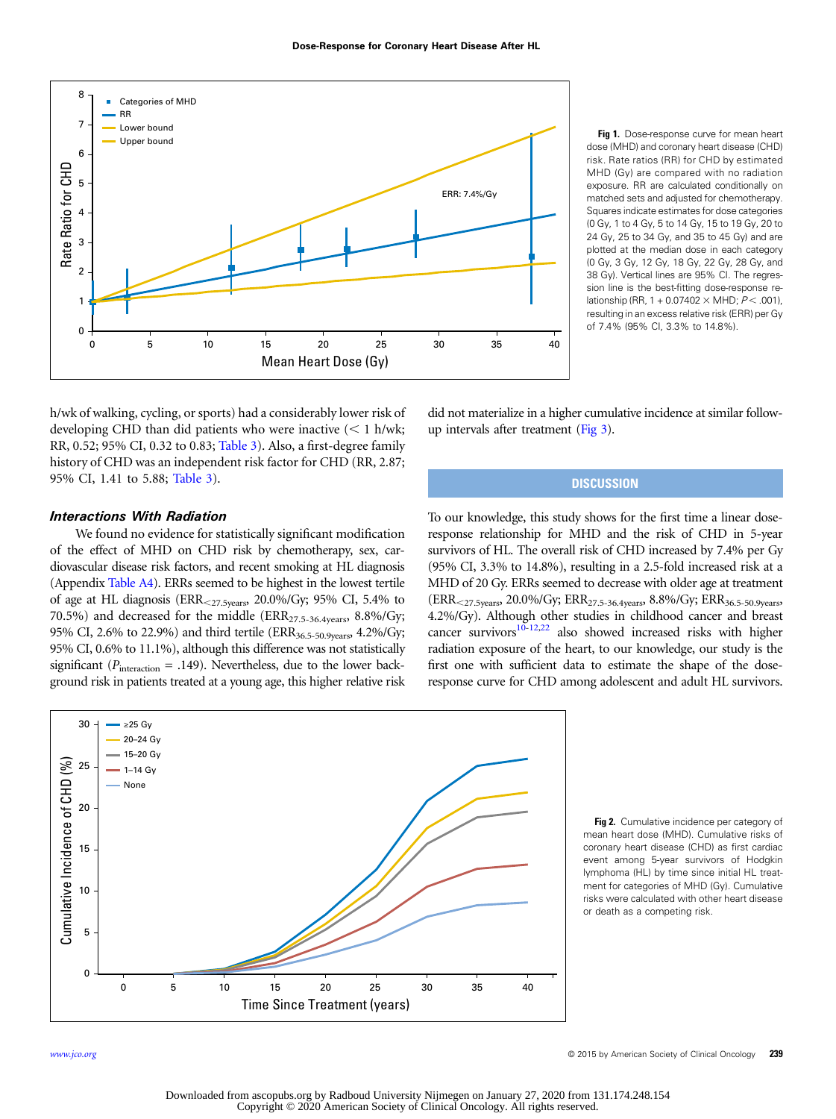<span id="page-4-0"></span>

Fig 1. Dose-response curve for mean heart dose (MHD) and coronary heart disease (CHD) risk. Rate ratios (RR) for CHD by estimated MHD (Gy) are compared with no radiation exposure. RR are calculated conditionally on matched sets and adjusted for chemotherapy. Squares indicate estimates for dose categories (0 Gy, 1 to 4 Gy, 5 to 14 Gy, 15 to 19 Gy, 20 to 24 Gy, 25 to 34 Gy, and 35 to 45 Gy) and are plotted at the median dose in each category (0 Gy, 3 Gy, 12 Gy, 18 Gy, 22 Gy, 28 Gy, and 38 Gy). Vertical lines are 95% CI. The regression line is the best-fitting dose-response relationship (RR, 1 + 0.07402  $\times$  MHD; P < .001), resulting in an excess relative risk (ERR) per Gy of 7.4% (95% CI, 3.3% to 14.8%).

h/wk of walking, cycling, or sports) had a considerably lower risk of developing CHD than did patients who were inactive  $(< 1$  h/wk; RR, 0.52; 95% CI, 0.32 to 0.83; [Table 3\)](#page-5-0). Also, a first-degree family history of CHD was an independent risk factor for CHD (RR, 2.87; 95% CI, 1.41 to 5.88; [Table 3\)](#page-5-0).

# Interactions With Radiation

We found no evidence for statistically significant modification of the effect of MHD on CHD risk by chemotherapy, sex, cardiovascular disease risk factors, and recent smoking at HL diagnosis (Appendix [Table A4](#page-11-0)). ERRs seemed to be highest in the lowest tertile of age at HL diagnosis (ERR $_{27.5 \text{years}}$ , 20.0%/Gy; 95% CI, 5.4% to 70.5%) and decreased for the middle (ERR<sub>27.5-36.4years</sub>, 8.8%/Gy; 95% CI, 2.6% to 22.9%) and third tertile (ERR<sub>36.5-50.9years</sub>, 4.2%/Gy; 95% CI, 0.6% to 11.1%), although this difference was not statistically significant ( $P_{\text{interaction}} = .149$ ). Nevertheless, due to the lower background risk in patients treated at a young age, this higher relative risk

did not materialize in a higher cumulative incidence at similar followup intervals after treatment [\(Fig 3\)](#page-6-0).

# **DISCUSSION**

To our knowledge, this study shows for the first time a linear doseresponse relationship for MHD and the risk of CHD in 5-year survivors of HL. The overall risk of CHD increased by 7.4% per Gy (95% CI, 3.3% to 14.8%), resulting in a 2.5-fold increased risk at a MHD of 20 Gy. ERRs seemed to decrease with older age at treatment  $(ERR<sub><27.5 years</sub>, 20.0\%/Gy; ERR<sub>27.5-36.4 years</sub>, 8.8\%/Gy; ERR<sub>36.5-50.9 years</sub>$ 4.2%/Gy). Although other studies in childhood cancer and breast cancer survivors $10^{-12,22}$  $10^{-12,22}$  $10^{-12,22}$  also showed increased risks with higher radiation exposure of the heart, to our knowledge, our study is the first one with sufficient data to estimate the shape of the doseresponse curve for CHD among adolescent and adult HL survivors.



Fig 2. Cumulative incidence per category of mean heart dose (MHD). Cumulative risks of coronary heart disease (CHD) as first cardiac event among 5-year survivors of Hodgkin lymphoma (HL) by time since initial HL treatment for categories of MHD (Gy). Cumulative risks were calculated with other heart disease or death as a competing risk.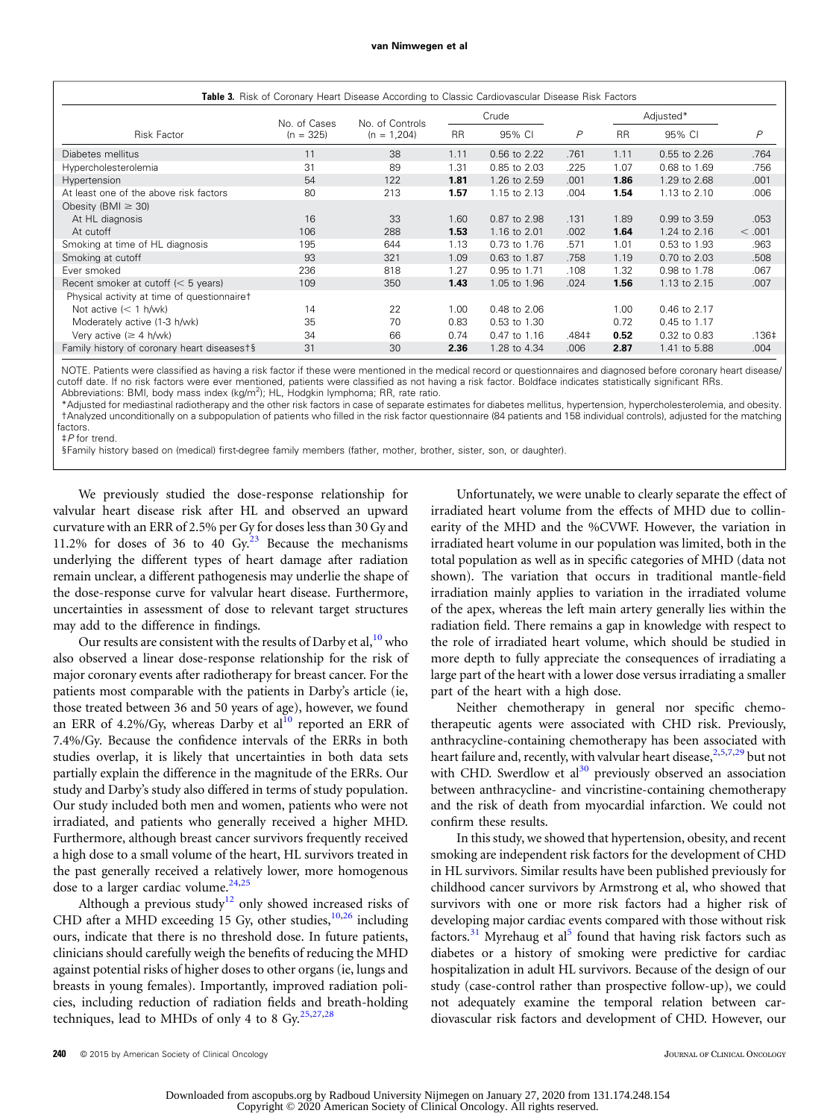<span id="page-5-0"></span>

| Table 3. Risk of Coronary Heart Disease According to Classic Cardiovascular Disease Risk Factors |              |                 |           |              |       |           |              |               |
|--------------------------------------------------------------------------------------------------|--------------|-----------------|-----------|--------------|-------|-----------|--------------|---------------|
|                                                                                                  | No. of Cases | No. of Controls |           | Crude        |       | Adjusted* |              |               |
| <b>Risk Factor</b>                                                                               | $(n = 325)$  | $(n = 1,204)$   | <b>RR</b> | 95% CI       | P     | <b>RR</b> | 95% CI       | $\mathcal{P}$ |
| Diabetes mellitus                                                                                | 11           | 38              | 1.11      | 0.56 to 2.22 | .761  | 1.11      | 0.55 to 2.26 | .764          |
| Hypercholesterolemia                                                                             | 31           | 89              | 1.31      | 0.85 to 2.03 | .225  | 1.07      | 0.68 to 1.69 | .756          |
| Hypertension                                                                                     | 54           | 122             | 1.81      | 1.26 to 2.59 | .001  | 1.86      | 1.29 to 2.68 | .001          |
| At least one of the above risk factors                                                           | 80           | 213             | 1.57      | 1.15 to 2.13 | .004  | 1.54      | 1.13 to 2.10 | .006          |
| Obesity (BMI $\geq$ 30)                                                                          |              |                 |           |              |       |           |              |               |
| At HL diagnosis                                                                                  | 16           | 33              | 1.60      | 0.87 to 2.98 | .131  | 1.89      | 0.99 to 3.59 | .053          |
| At cutoff                                                                                        | 106          | 288             | 1.53      | 1.16 to 2.01 | .002  | 1.64      | 1.24 to 2.16 | < .001        |
| Smoking at time of HL diagnosis                                                                  | 195          | 644             | 1.13      | 0.73 to 1.76 | .571  | 1.01      | 0.53 to 1.93 | .963          |
| Smoking at cutoff                                                                                | 93           | 321             | 1.09      | 0.63 to 1.87 | .758  | 1.19      | 0.70 to 2.03 | .508          |
| Ever smoked                                                                                      | 236          | 818             | 1.27      | 0.95 to 1.71 | .108  | 1.32      | 0.98 to 1.78 | .067          |
| Recent smoker at cutoff $(< 5$ years)                                                            | 109          | 350             | 1.43      | 1.05 to 1.96 | .024  | 1.56      | 1.13 to 2.15 | .007          |
| Physical activity at time of questionnairet                                                      |              |                 |           |              |       |           |              |               |
| Not active $(< 1$ h/wk)                                                                          | 14           | 22              | 1.00      | 0.48 to 2.06 |       | 1.00      | 0.46 to 2.17 |               |
| Moderately active (1-3 h/wk)                                                                     | 35           | 70              | 0.83      | 0.53 to 1.30 |       | 0.72      | 0.45 to 1.17 |               |
| Very active ( $\geq 4$ h/wk)                                                                     | 34           | 66              | 0.74      | 0.47 to 1.16 | .484‡ | 0.52      | 0.32 to 0.83 | .136‡         |
| Family history of coronary heart diseasest§                                                      | 31           | 30              | 2.36      | 1.28 to 4.34 | .006  | 2.87      | 1.41 to 5.88 | .004          |

NOTE. Patients were classified as having a risk factor if these were mentioned in the medical record or questionnaires and diagnosed before coronary heart disease/ cutoff date. If no risk factors were ever mentioned, patients were classified as not having a risk factor. Boldface indicates statistically significant RRs. Abbreviations: BMI, body mass index (kg/m<sup>2</sup>); HL, Hodgkin lymphoma; RR, rate ratio.

\*Adjusted for mediastinal radiotherapy and the other risk factors in case of separate estimates for diabetes mellitus, hypertension, hypercholesterolemia, and obesity. †Analyzed unconditionally on a subpopulation of patients who filled in the risk factor questionnaire (84 patients and 158 individual controls), adjusted for the matching factors<sup>.</sup>

‡P for trend. §Family history based on (medical) first-degree family members (father, mother, brother, sister, son, or daughter).

We previously studied the dose-response relationship for valvular heart disease risk after HL and observed an upward curvature with an ERR of 2.5% per Gy for doses less than 30 Gy and 11.2% for doses of 36 to 40  $Gy$ .<sup>[23](#page-8-0)</sup> Because the mechanisms underlying the different types of heart damage after radiation remain unclear, a different pathogenesis may underlie the shape of the dose-response curve for valvular heart disease. Furthermore, uncertainties in assessment of dose to relevant target structures may add to the difference in findings.

Our results are consistent with the results of Darby et al,  $10$  who also observed a linear dose-response relationship for the risk of major coronary events after radiotherapy for breast cancer. For the patients most comparable with the patients in Darby's article (ie, those treated between 36 and 50 years of age), however, we found an ERR of 4.2%/Gy, whereas Darby et  $al^{10}$  $al^{10}$  $al^{10}$  reported an ERR of 7.4%/Gy. Because the confidence intervals of the ERRs in both studies overlap, it is likely that uncertainties in both data sets partially explain the difference in the magnitude of the ERRs. Our study and Darby's study also differed in terms of study population. Our study included both men and women, patients who were not irradiated, and patients who generally received a higher MHD. Furthermore, although breast cancer survivors frequently received a high dose to a small volume of the heart, HL survivors treated in the past generally received a relatively lower, more homogenous dose to a larger cardiac volume.<sup>24,25</sup>

Although a previous study<sup>[12](#page-8-0)</sup> only showed increased risks of CHD after a MHD exceeding 15 Gy, other studies, $10,26$  $10,26$  including ours, indicate that there is no threshold dose. In future patients, clinicians should carefully weigh the benefits of reducing the MHD against potential risks of higher doses to other organs (ie, lungs and breasts in young females). Importantly, improved radiation policies, including reduction of radiation fields and breath-holding techniques, lead to MHDs of only 4 to 8  $Gy$ <sup>[25,27](#page-8-0),[28](#page-8-0)</sup>

Unfortunately, we were unable to clearly separate the effect of irradiated heart volume from the effects of MHD due to collinearity of the MHD and the %CVWF. However, the variation in irradiated heart volume in our population was limited, both in the total population as well as in specific categories of MHD (data not shown). The variation that occurs in traditional mantle-field irradiation mainly applies to variation in the irradiated volume of the apex, whereas the left main artery generally lies within the radiation field. There remains a gap in knowledge with respect to the role of irradiated heart volume, which should be studied in more depth to fully appreciate the consequences of irradiating a large part of the heart with a lower dose versus irradiating a smaller part of the heart with a high dose.

Neither chemotherapy in general nor specific chemotherapeutic agents were associated with CHD risk. Previously, anthracycline-containing chemotherapy has been associated with heart failure and, recently, with valvular heart disease,  $25,7,29$  $25,7,29$  but not with CHD. Swerdlow et al<sup>30</sup> previously observed an association between anthracycline- and vincristine-containing chemotherapy and the risk of death from myocardial infarction. We could not confirm these results.

In this study, we showed that hypertension, obesity, and recent smoking are independent risk factors for the development of CHD in HL survivors. Similar results have been published previously for childhood cancer survivors by Armstrong et al, who showed that survivors with one or more risk factors had a higher risk of developing major cardiac events compared with those without risk factors.<sup>[31](#page-8-0)</sup> Myrehaug et al<sup>[5](#page-7-0)</sup> found that having risk factors such as diabetes or a history of smoking were predictive for cardiac hospitalization in adult HL survivors. Because of the design of our study (case-control rather than prospective follow-up), we could not adequately examine the temporal relation between cardiovascular risk factors and development of CHD. However, our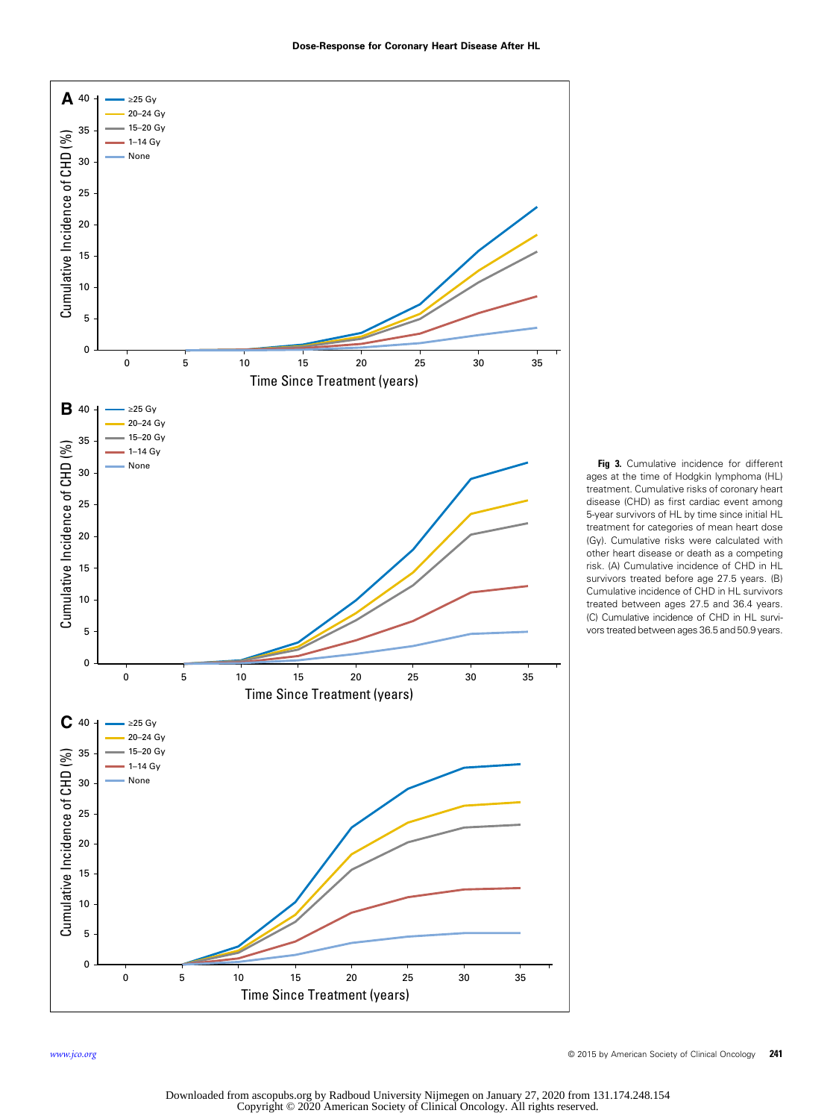<span id="page-6-0"></span>

Fig 3. Cumulative incidence for different ages at the time of Hodgkin lymphoma (HL) treatment. Cumulative risks of coronary heart disease (CHD) as first cardiac event among 5-year survivors of HL by time since initial HL treatment for categories of mean heart dose (Gy). Cumulative risks were calculated with other heart disease or death as a competing risk. (A) Cumulative incidence of CHD in HL survivors treated before age 27.5 years. (B) Cumulative incidence of CHD in HL survivors treated between ages 27.5 and 36.4 years. (C) Cumulative incidence of CHD in HL survivors treated between ages 36.5 and 50.9 years.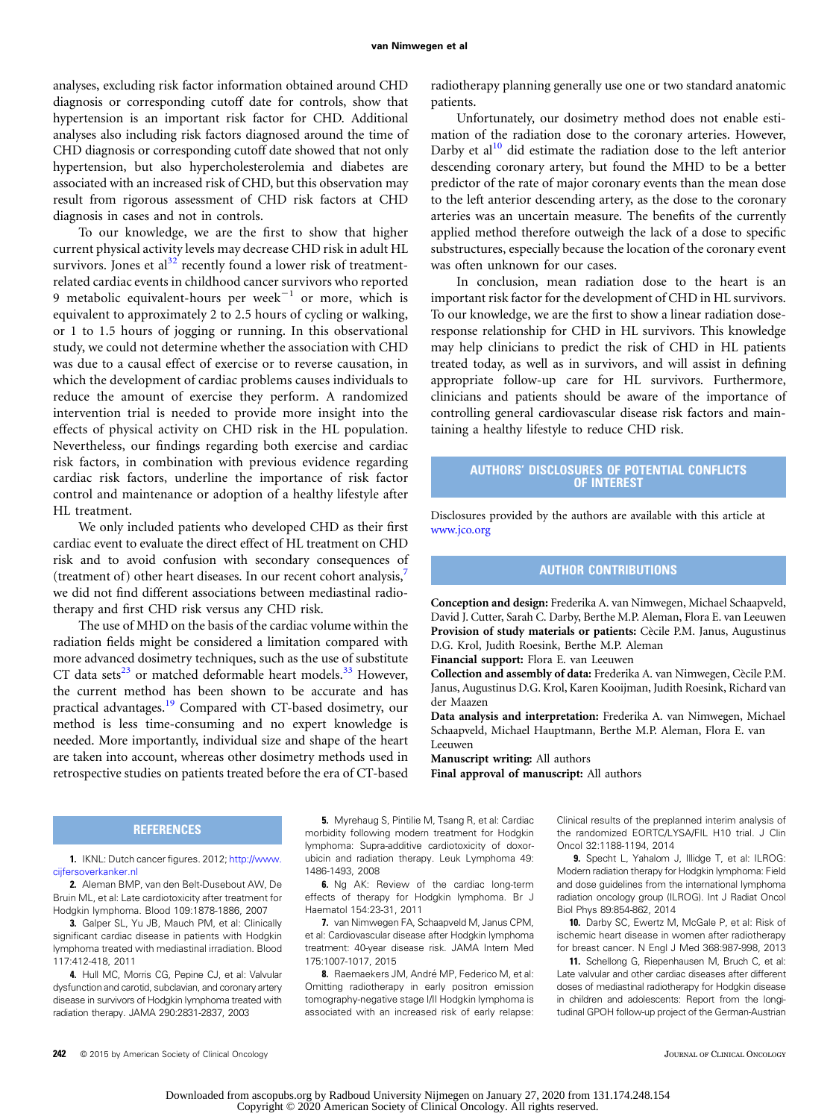<span id="page-7-0"></span>analyses, excluding risk factor information obtained around CHD diagnosis or corresponding cutoff date for controls, show that hypertension is an important risk factor for CHD. Additional analyses also including risk factors diagnosed around the time of CHD diagnosis or corresponding cutoff date showed that not only hypertension, but also hypercholesterolemia and diabetes are associated with an increased risk of CHD, but this observation may result from rigorous assessment of CHD risk factors at CHD diagnosis in cases and not in controls.

To our knowledge, we are the first to show that higher current physical activity levels may decrease CHD risk in adult HL survivors. Jones et al<sup>[32](#page-8-0)</sup> recently found a lower risk of treatmentrelated cardiac events in childhood cancer survivors who reported 9 metabolic equivalent-hours per week $^{-1}$  or more, which is equivalent to approximately 2 to 2.5 hours of cycling or walking, or 1 to 1.5 hours of jogging or running. In this observational study, we could not determine whether the association with CHD was due to a causal effect of exercise or to reverse causation, in which the development of cardiac problems causes individuals to reduce the amount of exercise they perform. A randomized intervention trial is needed to provide more insight into the effects of physical activity on CHD risk in the HL population. Nevertheless, our findings regarding both exercise and cardiac risk factors, in combination with previous evidence regarding cardiac risk factors, underline the importance of risk factor control and maintenance or adoption of a healthy lifestyle after HL treatment.

We only included patients who developed CHD as their first cardiac event to evaluate the direct effect of HL treatment on CHD risk and to avoid confusion with secondary consequences of (treatment of) other heart diseases. In our recent cohort analysis, we did not find different associations between mediastinal radiotherapy and first CHD risk versus any CHD risk.

The use of MHD on the basis of the cardiac volume within the radiation fields might be considered a limitation compared with more advanced dosimetry techniques, such as the use of substitute CT data sets<sup>[23](#page-8-0)</sup> or matched deformable heart models.<sup>[33](#page-8-0)</sup> However, the current method has been shown to be accurate and has practical advantages.<sup>[19](#page-8-0)</sup> Compared with CT-based dosimetry, our method is less time-consuming and no expert knowledge is needed. More importantly, individual size and shape of the heart are taken into account, whereas other dosimetry methods used in retrospective studies on patients treated before the era of CT-based radiotherapy planning generally use one or two standard anatomic patients.

Unfortunately, our dosimetry method does not enable estimation of the radiation dose to the coronary arteries. However, Darby et al $1^{10}$  did estimate the radiation dose to the left anterior descending coronary artery, but found the MHD to be a better predictor of the rate of major coronary events than the mean dose to the left anterior descending artery, as the dose to the coronary arteries was an uncertain measure. The benefits of the currently applied method therefore outweigh the lack of a dose to specific substructures, especially because the location of the coronary event was often unknown for our cases.

In conclusion, mean radiation dose to the heart is an important risk factor for the development of CHD in HL survivors. To our knowledge, we are the first to show a linear radiation doseresponse relationship for CHD in HL survivors. This knowledge may help clinicians to predict the risk of CHD in HL patients treated today, as well as in survivors, and will assist in defining appropriate follow-up care for HL survivors. Furthermore, clinicians and patients should be aware of the importance of controlling general cardiovascular disease risk factors and maintaining a healthy lifestyle to reduce CHD risk.

#### AUTHORS' DISCLOSURES OF POTENTIAL CONFLICTS OF INTEREST

Disclosures provided by the authors are available with this article at [www.jco.org](http://www.jco.org)

#### AUTHOR CONTRIBUTIONS

Conception and design: Frederika A. van Nimwegen, Michael Schaapveld, David J. Cutter, Sarah C. Darby, Berthe M.P. Aleman, Flora E. van Leeuwen Provision of study materials or patients: Cècile P.M. Janus, Augustinus D.G. Krol, Judith Roesink, Berthe M.P. Aleman

Financial support: Flora E. van Leeuwen

Collection and assembly of data: Frederika A. van Nimwegen, Cècile P.M. Janus, Augustinus D.G. Krol, Karen Kooijman, Judith Roesink, Richard van der Maazen

Data analysis and interpretation: Frederika A. van Nimwegen, Michael Schaapveld, Michael Hauptmann, Berthe M.P. Aleman, Flora E. van Leeuwen

Manuscript writing: All authors

Final approval of manuscript: All authors

#### **REFERENCES**

1. IKNL: Dutch cancer figures. 2012; [http://www.](http://www.cijfersoverkanker.nl) [cijfersoverkanker.nl](http://www.cijfersoverkanker.nl)

2. Aleman BMP, van den Belt-Dusebout AW, De Bruin ML, et al: Late cardiotoxicity after treatment for Hodgkin lymphoma. Blood 109:1878-1886, 2007

3. Galper SL, Yu JB, Mauch PM, et al: Clinically significant cardiac disease in patients with Hodgkin lymphoma treated with mediastinal irradiation. Blood 117:412-418, 2011

4. Hull MC, Morris CG, Pepine CJ, et al: Valvular dysfunction and carotid, subclavian, and coronary artery disease in survivors of Hodgkin lymphoma treated with radiation therapy. JAMA 290:2831-2837, 2003

5. Myrehaug S, Pintilie M, Tsang R, et al: Cardiac morbidity following modern treatment for Hodgkin lymphoma: Supra-additive cardiotoxicity of doxorubicin and radiation therapy. Leuk Lymphoma 49: 1486-1493, 2008

6. Ng AK: Review of the cardiac long-term effects of therapy for Hodgkin lymphoma. Br J Haematol 154:23-31, 2011

7. van Nimwegen FA, Schaapveld M, Janus CPM, et al: Cardiovascular disease after Hodgkin lymphoma treatment: 40-year disease risk. JAMA Intern Med 175:1007-1017, 2015

8. Raemaekers JM, André MP, Federico M, et al: Omitting radiotherapy in early positron emission tomography-negative stage I/II Hodgkin lymphoma is associated with an increased risk of early relapse: Clinical results of the preplanned interim analysis of the randomized EORTC/LYSA/FIL H10 trial. J Clin Oncol 32:1188-1194, 2014

9. Specht L, Yahalom J, Illidge T, et al: ILROG: Modern radiation therapy for Hodgkin lymphoma: Field and dose guidelines from the international lymphoma radiation oncology group (ILROG). Int J Radiat Oncol Biol Phys 89:854-862, 2014

10. Darby SC, Ewertz M, McGale P, et al: Risk of ischemic heart disease in women after radiotherapy for breast cancer. N Engl J Med 368:987-998, 2013

11. Schellong G, Riepenhausen M, Bruch C, et al: Late valvular and other cardiac diseases after different doses of mediastinal radiotherapy for Hodgkin disease in children and adolescents: Report from the longitudinal GPOH follow-up project of the German-Austrian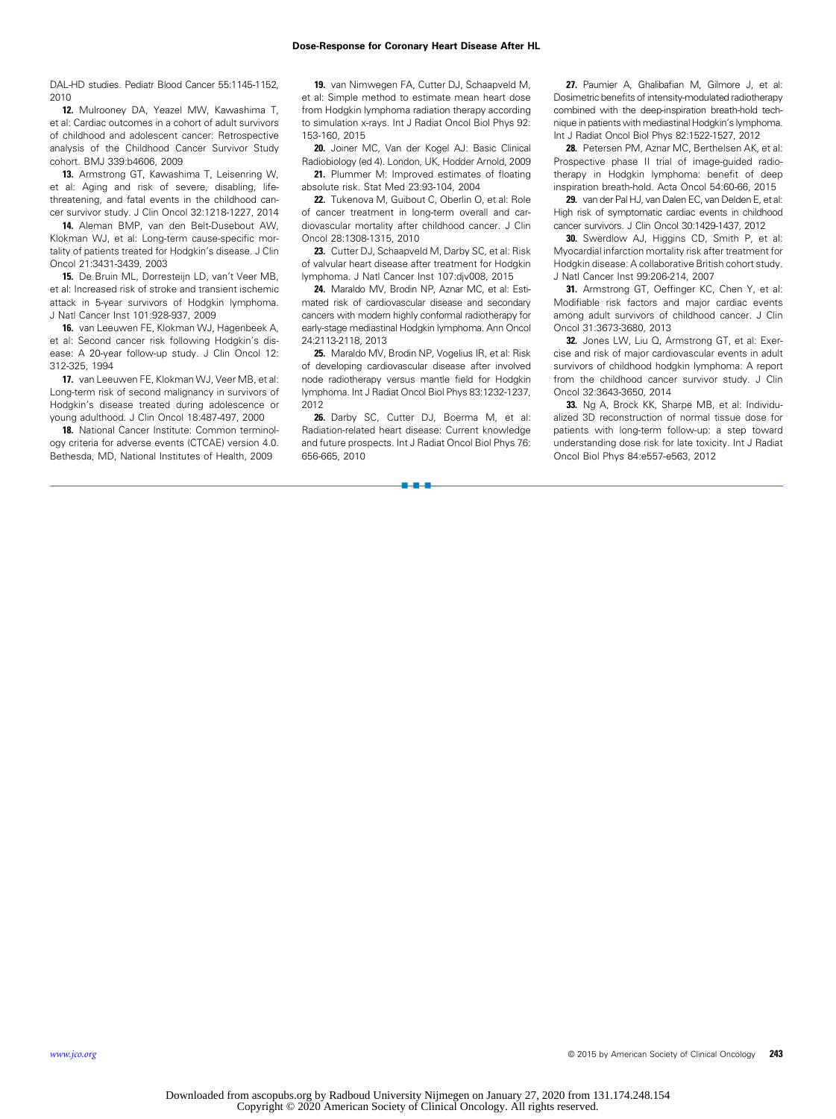#### Dose-Response for Coronary Heart Disease After HL Dose-Response for Coronary Heart Disease After HL

<span id="page-8-0"></span>DAL-HD studies. Pediatr Blood Cancer 55:1145-1152, 2010

12. Mulrooney DA, Yeazel MW, Kawashima T, et al: Cardiac outcomes in a cohort of adult survivors of childhood and adolescent cancer: Retrospective analysis of the Childhood Cancer Survivor Study cohort. BMJ 339:b4606, 2009

13. Armstrong GT, Kawashima T, Leisenring W, et al: Aging and risk of severe, disabling, lifethreatening, and fatal events in the childhood cancer survivor study. J Clin Oncol 32:1218-1227, 2014

14. Aleman BMP, van den Belt-Dusebout AW, Klokman WJ, et al: Long-term cause-specific mortality of patients treated for Hodgkin's disease. J Clin Oncol 21:3431-3439, 2003

15. De Bruin ML, Dorresteijn LD, van't Veer MB, et al: Increased risk of stroke and transient ischemic attack in 5-year survivors of Hodgkin lymphoma. J Natl Cancer Inst 101:928-937, 2009

16. van Leeuwen FE, Klokman WJ, Hagenbeek A, et al: Second cancer risk following Hodgkin's disease: A 20-year follow-up study. J Clin Oncol 12: 312-325, 1994

17. van Leeuwen FE, Klokman WJ, Veer MB, et al: Long-term risk of second malignancy in survivors of Hodgkin's disease treated during adolescence or young adulthood. J Clin Oncol 18:487-497, 2000

18. National Cancer Institute: Common terminology criteria for adverse events (CTCAE) version 4.0. Bethesda, MD, National Institutes of Health, 2009

19. van Nimwegen FA, Cutter DJ, Schaapveld M, et al: Simple method to estimate mean heart dose from Hodgkin lymphoma radiation therapy according to simulation x-rays. Int J Radiat Oncol Biol Phys 92: 153-160, 2015

20. Joiner MC, Van der Kogel AJ: Basic Clinical Radiobiology (ed 4). London, UK, Hodder Arnold, 2009

21. Plummer M: Improved estimates of floating absolute risk. Stat Med 23:93-104, 2004

22. Tukenova M, Guibout C, Oberlin O, et al: Role of cancer treatment in long-term overall and cardiovascular mortality after childhood cancer. J Clin Oncol 28:1308-1315, 2010

23. Cutter DJ, Schaapveld M, Darby SC, et al: Risk of valvular heart disease after treatment for Hodgkin lymphoma. J Natl Cancer Inst 107:djv008, 2015

24. Maraldo MV, Brodin NP, Aznar MC, et al: Estimated risk of cardiovascular disease and secondary cancers with modern highly conformal radiotherapy for early-stage mediastinal Hodgkin lymphoma. Ann Oncol 24:2113-2118, 2013

25. Maraldo MV, Brodin NP, Vogelius IR, et al: Risk of developing cardiovascular disease after involved node radiotherapy versus mantle field for Hodgkin lymphoma. Int J Radiat Oncol Biol Phys 83:1232-1237, 2012

26. Darby SC, Cutter DJ, Boerma M, et al: Radiation-related heart disease: Current knowledge and future prospects. Int J Radiat Oncol Biol Phys 76: 656-665, 2010

n-a-a

27. Paumier A, Ghalibafian M, Gilmore J, et al: Dosimetric benefits of intensity-modulated radiotherapy combined with the deep-inspiration breath-hold technique in patients with mediastinal Hodgkin's lymphoma. Int J Radiat Oncol Biol Phys 82:1522-1527, 2012

28. Petersen PM, Aznar MC, Berthelsen AK, et al: Prospective phase II trial of image-guided radiotherapy in Hodgkin lymphoma: benefit of deep inspiration breath-hold. Acta Oncol 54:60-66, 2015

29. van der Pal HJ, van Dalen EC, van Delden E, et al: High risk of symptomatic cardiac events in childhood cancer survivors. J Clin Oncol 30:1429-1437, 2012

30. Swerdlow AJ, Higgins CD, Smith P, et al: Myocardial infarction mortality risk after treatment for Hodgkin disease: A collaborative British cohort study. J Natl Cancer Inst 99:206-214, 2007

31. Armstrong GT, Oeffinger KC, Chen Y, et al: Modifiable risk factors and major cardiac events among adult survivors of childhood cancer. J Clin Oncol 31:3673-3680, 2013

32. Jones LW, Liu Q, Armstrong GT, et al: Exercise and risk of major cardiovascular events in adult survivors of childhood hodgkin lymphoma: A report from the childhood cancer survivor study. J Clin Oncol 32:3643-3650, 2014

33. Ng A, Brock KK, Sharpe MB, et al: Individualized 3D reconstruction of normal tissue dose for patients with long-term follow-up: a step toward understanding dose risk for late toxicity. Int J Radiat Oncol Biol Phys 84:e557-e563, 2012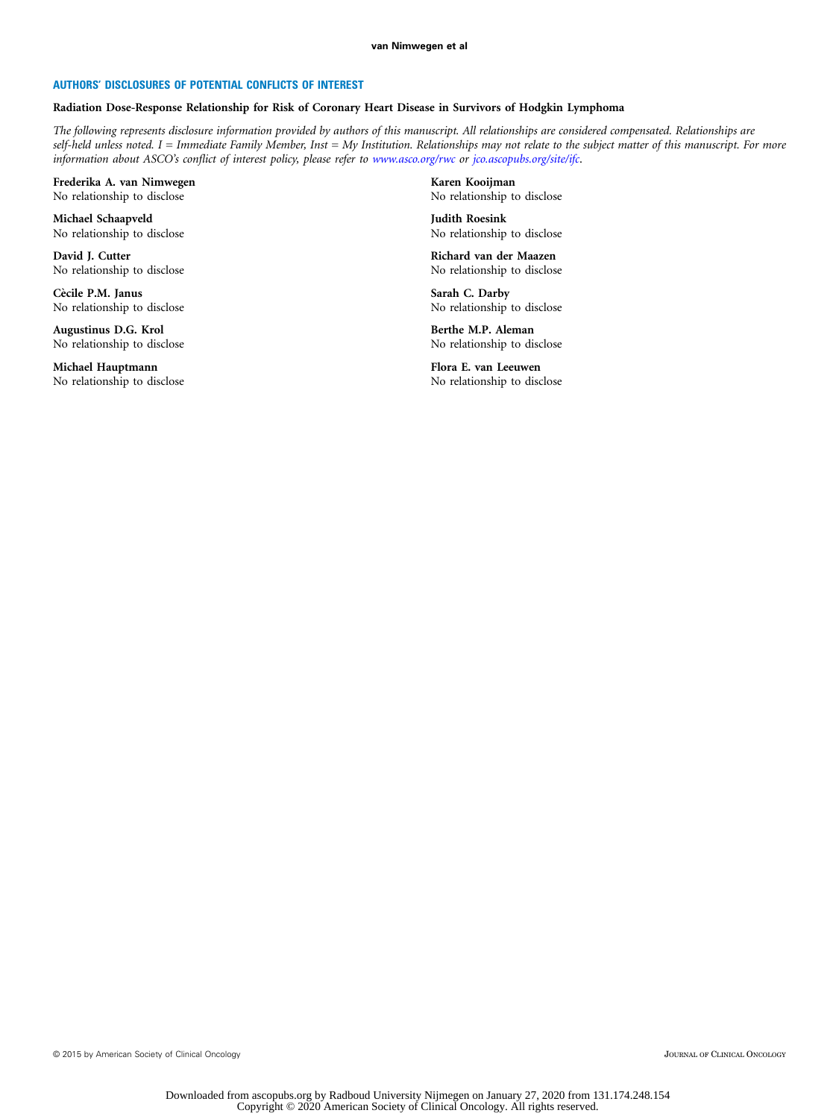#### AUTHORS' DISCLOSURES OF POTENTIAL CONFLICTS OF INTEREST

#### Radiation Dose-Response Relationship for Risk of Coronary Heart Disease in Survivors of Hodgkin Lymphoma

The following represents disclosure information provided by authors of this manuscript. All relationships are considered compensated. Relationships are self-held unless noted. I = Immediate Family Member, Inst = My Institution. Relationships may not relate to the subject matter of this manuscript. For more information about ASCO's conflict of interest policy, please refer to [www.asco.org/rwc](http://www.asco.org/rwc) or [jco.ascopubs.org/site/ifc](http://www.jco.ascopubs.org/site/ifc).

Frederika A. van Nimwegen No relationship to disclose

Michael Schaapveld No relationship to disclose

David J. Cutter No relationship to disclose

Cècile P.M. Janus No relationship to disclose

Augustinus D.G. Krol No relationship to disclose

Michael Hauptmann No relationship to disclose

Karen Kooijman No relationship to disclose

Judith Roesink No relationship to disclose

Richard van der Maazen No relationship to disclose

Sarah C. Darby No relationship to disclose

Berthe M.P. Aleman No relationship to disclose

Flora E. van Leeuwen No relationship to disclose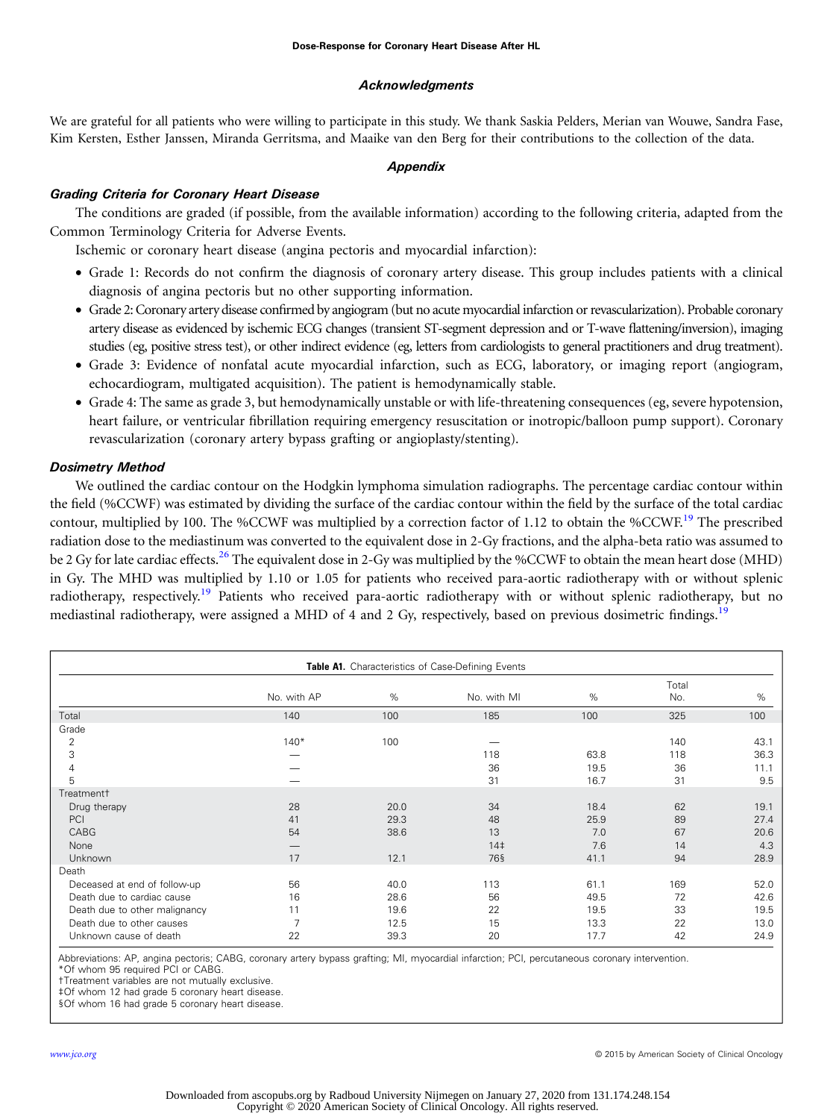### Acknowledgments

<span id="page-10-0"></span>We are grateful for all patients who were willing to participate in this study. We thank Saskia Pelders, Merian van Wouwe, Sandra Fase, Kim Kersten, Esther Janssen, Miranda Gerritsma, and Maaike van den Berg for their contributions to the collection of the data.

#### Appendix

# Grading Criteria for Coronary Heart Disease

The conditions are graded (if possible, from the available information) according to the following criteria, adapted from the Common Terminology Criteria for Adverse Events.

Ischemic or coronary heart disease (angina pectoris and myocardial infarction):

- Grade 1: Records do not confirm the diagnosis of coronary artery disease. This group includes patients with a clinical diagnosis of angina pectoris but no other supporting information.
- Grade 2: Coronary artery disease confirmed by angiogram (but no acute myocardial infarction or revascularization). Probable coronary artery disease as evidenced by ischemic ECG changes (transient ST-segment depression and or T-wave flattening/inversion), imaging studies (eg, positive stress test), or other indirect evidence (eg, letters from cardiologists to general practitioners and drug treatment).
- Grade 3: Evidence of nonfatal acute myocardial infarction, such as ECG, laboratory, or imaging report (angiogram, echocardiogram, multigated acquisition). The patient is hemodynamically stable.
- Grade 4: The same as grade 3, but hemodynamically unstable or with life-threatening consequences (eg, severe hypotension, heart failure, or ventricular fibrillation requiring emergency resuscitation or inotropic/balloon pump support). Coronary revascularization (coronary artery bypass grafting or angioplasty/stenting).

# Dosimetry Method

We outlined the cardiac contour on the Hodgkin lymphoma simulation radiographs. The percentage cardiac contour within the field (%CCWF) was estimated by dividing the surface of the cardiac contour within the field by the surface of the total cardiac contour, multiplied by 100. The %CCWF was multiplied by a correction factor of 1.12 to obtain the %CCWF.<sup>[19](#page-8-0)</sup> The prescribed radiation dose to the mediastinum was converted to the equivalent dose in 2-Gy fractions, and the alpha-beta ratio was assumed to be 2 Gv for late cardiac effects.<sup>[26](#page-8-0)</sup> The equivalent dose in 2-Gy was multiplied by the %CCWF to obtain the mean heart dose (MHD) in Gy. The MHD was multiplied by 1.10 or 1.05 for patients who received para-aortic radiotherapy with or without splenic radiotherapy, respectively.<sup>[19](#page-8-0)</sup> Patients who received para-aortic radiotherapy with or without splenic radiotherapy, but no mediastinal radiotherapy, were assigned a MHD of 4 and 2 Gy, respectively, based on previous dosimetric findings.<sup>[19](#page-8-0)</sup>

| Table A1. Characteristics of Case-Defining Events |             |      |                 |      |              |      |  |
|---------------------------------------------------|-------------|------|-----------------|------|--------------|------|--|
|                                                   | No. with AP | %    | No. with MI     | %    | Total<br>No. | %    |  |
| Total                                             | 140         | 100  | 185             | 100  | 325          | 100  |  |
| Grade                                             |             |      |                 |      |              |      |  |
| 2                                                 | $140*$      | 100  |                 |      | 140          | 43.1 |  |
| 3                                                 |             |      | 118             | 63.8 | 118          | 36.3 |  |
| 4                                                 |             |      | 36              | 19.5 | 36           | 11.1 |  |
| 5                                                 |             |      | 31              | 16.7 | 31           | 9.5  |  |
| Treatment <sup>+</sup>                            |             |      |                 |      |              |      |  |
| Drug therapy                                      | 28          | 20.0 | 34              | 18.4 | 62           | 19.1 |  |
| PCI                                               | 41          | 29.3 | 48              | 25.9 | 89           | 27.4 |  |
| CABG                                              | 54          | 38.6 | 13              | 7.0  | 67           | 20.6 |  |
| None                                              |             |      | 14 <sup>‡</sup> | 7.6  | 14           | 4.3  |  |
| <b>Unknown</b>                                    | 17          | 12.1 | 76§             | 41.1 | 94           | 28.9 |  |
| Death                                             |             |      |                 |      |              |      |  |
| Deceased at end of follow-up                      | 56          | 40.0 | 113             | 61.1 | 169          | 52.0 |  |
| Death due to cardiac cause                        | 16          | 28.6 | 56              | 49.5 | 72           | 42.6 |  |
| Death due to other malignancy                     | 11          | 19.6 | 22              | 19.5 | 33           | 19.5 |  |
| Death due to other causes                         | 7           | 12.5 | 15              | 13.3 | 22           | 13.0 |  |
| Unknown cause of death                            | 22          | 39.3 | 20              | 17.7 | 42           | 24.9 |  |

Abbreviations: AP, angina pectoris; CABG, coronary artery bypass grafting; MI, myocardial infarction; PCI, percutaneous coronary intervention. \*Of whom 95 required PCI or CABG.

†Treatment variables are not mutually exclusive.

‡Of whom 12 had grade 5 coronary heart disease.

§Of whom 16 had grade 5 coronary heart disease.